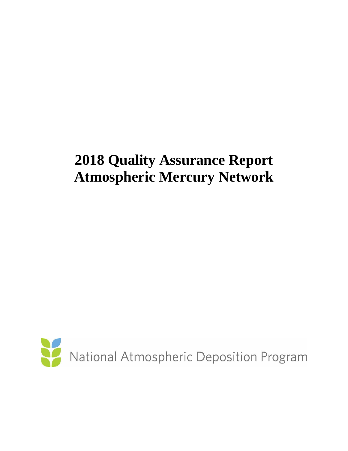# **2018 Quality Assurance Report Atmospheric Mercury Network**

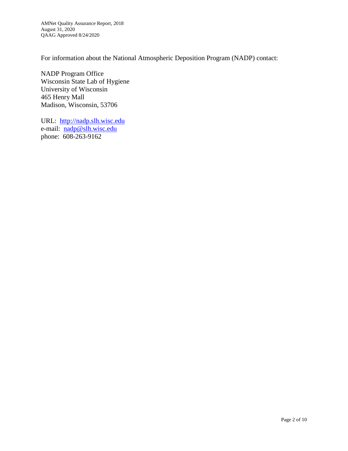For information about the National Atmospheric Deposition Program (NADP) contact:

NADP Program Office Wisconsin State Lab of Hygiene University of Wisconsin 465 Henry Mall Madison, Wisconsin, 53706

URL: [http://nadp.slh.wisc.edu](http://nadp.slh.wisc.edu/) e-mail: [nadp@slh.wisc.edu](mailto:nadp@slh.wisc.edu) phone: 608-263-9162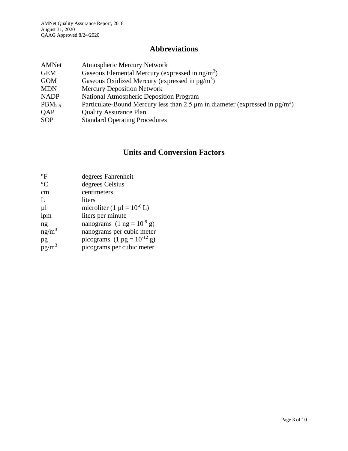# **Abbreviations**

| AMNet              | <b>Atmospheric Mercury Network</b>                                                            |
|--------------------|-----------------------------------------------------------------------------------------------|
| <b>GEM</b>         | Gaseous Elemental Mercury (expressed in $ng/m3$ )                                             |
| <b>GOM</b>         | Gaseous Oxidized Mercury (expressed in $pg/m3$ )                                              |
| <b>MDN</b>         | <b>Mercury Deposition Network</b>                                                             |
| <b>NADP</b>        | <b>National Atmospheric Deposition Program</b>                                                |
| PBM <sub>2.5</sub> | Particulate-Bound Mercury less than 2.5 $\mu$ m in diameter (expressed in pg/m <sup>3</sup> ) |
| <b>OAP</b>         | <b>Quality Assurance Plan</b>                                                                 |
| <b>SOP</b>         | <b>Standard Operating Procedures</b>                                                          |

## **Units and Conversion Factors**

| $\mathrm{^{\circ}F}$ | degrees Fahrenheit                              |
|----------------------|-------------------------------------------------|
| $\rm ^{\circ}C$      | degrees Celsius                                 |
| cm                   | centimeters                                     |
| $\mathbf{L}$         | liters                                          |
| μl                   | microliter $(1 \mu l = 10^{-6} L)$              |
| lpm                  | liters per minute                               |
| ng                   | nanograms $(1 \text{ ng} = 10^{-9} \text{ g})$  |
| $ng/m^3$             | nanograms per cubic meter                       |
| pg                   | picograms $(1 \text{ pg} = 10^{-12} \text{ g})$ |
| $pg/m^3$             | picograms per cubic meter                       |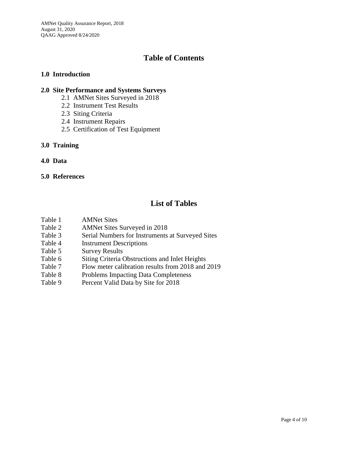AMNet Quality Assurance Report, 2018 August 31, 2020 QAAG Approved 8/24/2020

#### **Table of Contents**

#### **1.0 Introduction**

#### **2.0 Site Performance and Systems Surveys**

- 2.1 AMNet Sites Surveyed in 2018
- 2.2 Instrument Test Results
- 2.3 Siting Criteria
- 2.4 Instrument Repairs
- 2.5 Certification of Test Equipment

#### **3.0 Training**

**4.0 Data**

#### **5.0 References**

## **List of Tables**

- Table 1 AMNet Sites
- Table 2 AMNet Sites Surveyed in 2018
- Table 3 Serial Numbers for Instruments at Surveyed Sites
- Table 4 Instrument Descriptions
- Table 5 Survey Results
- Table 6 Siting Criteria Obstructions and Inlet Heights
- Table 7 Flow meter calibration results from 2018 and 2019
- Table 8 Problems Impacting Data Completeness
- Table 9 Percent Valid Data by Site for 2018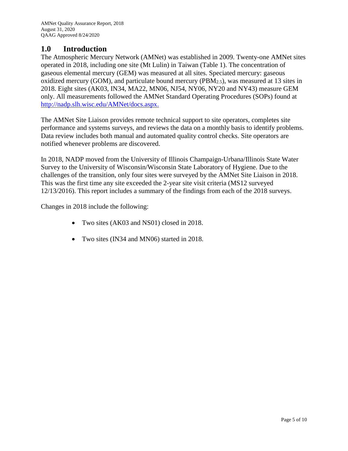#### **1.0 Introduction**

The Atmospheric Mercury Network (AMNet) was established in 2009. Twenty-one AMNet sites operated in 2018, including one site (Mt Lulin) in Taiwan (Table 1). The concentration of gaseous elemental mercury (GEM) was measured at all sites. Speciated mercury: gaseous oxidized mercury (GOM), and particulate bound mercury (PBM2.5), was measured at 13 sites in 2018. Eight sites (AK03, IN34, MA22, MN06, NJ54, NY06, NY20 and NY43) measure GEM only. All measurements followed the AMNet Standard Operating Procedures (SOPs) found at [http://nadp.slh.wisc.edu/AMNet/docs.aspx.](http://nadp.slh.wisc.edu/AMNet/docs.aspx)

The AMNet Site Liaison provides remote technical support to site operators, completes site performance and systems surveys, and reviews the data on a monthly basis to identify problems. Data review includes both manual and automated quality control checks. Site operators are notified whenever problems are discovered.

In 2018, NADP moved from the University of Illinois Champaign-Urbana/Illinois State Water Survey to the University of Wisconsin/Wisconsin State Laboratory of Hygiene. Due to the challenges of the transition, only four sites were surveyed by the AMNet Site Liaison in 2018. This was the first time any site exceeded the 2-year site visit criteria (MS12 surveyed 12/13/2016). This report includes a summary of the findings from each of the 2018 surveys.

Changes in 2018 include the following:

- Two sites (AK03 and NS01) closed in 2018.
- Two sites (IN34 and MN06) started in 2018.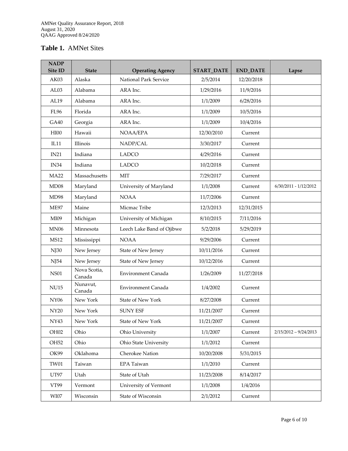#### **Table 1.** AMNet Sites

| <b>NADP</b><br>Site ID | <b>State</b>           | <b>Operating Agency</b>   | <b>START_DATE</b> | <b>END_DATE</b> | Lapse                   |
|------------------------|------------------------|---------------------------|-------------------|-----------------|-------------------------|
| AK03                   | Alaska                 | National Park Service     | 2/5/2014          | 12/20/2018      |                         |
| AL03                   | Alabama                | ARA Inc.                  | 1/29/2016         | 11/9/2016       |                         |
| AL19                   | Alabama                | ARA Inc.                  | 1/1/2009          | 6/28/2016       |                         |
| <b>FL96</b>            | Florida                | ARA Inc.                  | 1/1/2009          | 10/5/2016       |                         |
| GA40                   | Georgia                | ARA Inc.                  | 1/1/2009          | 10/4/2016       |                         |
| HIOO                   | Hawaii                 | NOAA/EPA                  | 12/30/2010        | Current         |                         |
| IL11                   | Illinois               | NADP/CAL                  | 3/30/2017         | Current         |                         |
| IN21                   | Indiana                | <b>LADCO</b>              | 4/29/2016         | Current         |                         |
| IN <sub>34</sub>       | Indiana                | <b>LADCO</b>              | 10/2/2018         | Current         |                         |
| <b>MA22</b>            | Massachusetts          | <b>MIT</b>                | 7/29/2017         | Current         |                         |
| MD08                   | Maryland               | University of Maryland    | 1/1/2008          | Current         | $6/30/2011 - 1/12/2012$ |
| MD98                   | Maryland               | <b>NOAA</b>               | 11/7/2006         | Current         |                         |
| <b>ME97</b>            | Maine                  | Micmac Tribe              | 12/3/2013         | 12/31/2015      |                         |
| MI09                   | Michigan               | University of Michigan    | 8/10/2015         | 7/11/2016       |                         |
| <b>MN06</b>            | Minnesota              | Leech Lake Band of Ojibwe | 5/2/2018          | 5/29/2019       |                         |
| <b>MS12</b>            | Mississippi            | <b>NOAA</b>               | 9/29/2006         | Current         |                         |
| NJ30                   | New Jersey             | State of New Jersey       | 10/11/2016        | Current         |                         |
| NJ54                   | New Jersey             | State of New Jersey       | 10/12/2016        | Current         |                         |
| <b>NS01</b>            | Nova Scotia,<br>Canada | Environment Canada        | 1/26/2009         | 11/27/2018      |                         |
| <b>NU15</b>            | Nunavut,<br>Canada     | Environment Canada        | 1/4/2002          | Current         |                         |
| <b>NY06</b>            | New York               | <b>State of New York</b>  | 8/27/2008         | Current         |                         |
| <b>NY20</b>            | New York               | <b>SUNY ESF</b>           | 11/21/2007        | Current         |                         |
| NY43                   | New York               | State of New York         | 11/21/2007        | Current         |                         |
| OH <sub>02</sub>       | Ohio                   | Ohio University           | 1/1/2007          | Current         | $2/15/2012 - 9/24/2013$ |
| OH <sub>52</sub>       | Ohio                   | Ohio State University     | 1/1/2012          | Current         |                         |
| OK99                   | Oklahoma               | Cherokee Nation           | 10/20/2008        | 5/31/2015       |                         |
| <b>TW01</b>            | Taiwan                 | EPA Taiwan                | 1/1/2010          | Current         |                         |
| UT97                   | Utah                   | State of Utah             | 11/23/2008        | 8/14/2017       |                         |
| VT99                   | Vermont                | University of Vermont     | 1/1/2008          | 1/4/2016        |                         |
| $\rm W I07$            | Wisconsin              | State of Wisconsin        | 2/1/2012          | Current         |                         |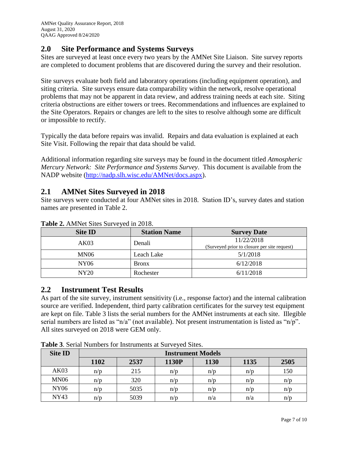#### **2.0 Site Performance and Systems Surveys**

Sites are surveyed at least once every two years by the AMNet Site Liaison. Site survey reports are completed to document problems that are discovered during the survey and their resolution.

Site surveys evaluate both field and laboratory operations (including equipment operation), and siting criteria. Site surveys ensure data comparability within the network, resolve operational problems that may not be apparent in data review, and address training needs at each site. Siting criteria obstructions are either towers or trees. Recommendations and influences are explained to the Site Operators. Repairs or changes are left to the sites to resolve although some are difficult or impossible to rectify.

Typically the data before repairs was invalid. Repairs and data evaluation is explained at each Site Visit. Following the repair that data should be valid.

Additional information regarding site surveys may be found in the document titled *Atmospheric Mercury Network: Site Performance and Systems Survey*. This document is available from the NADP website [\(http://nadp.slh.wisc.edu/AMNet/docs.aspx\)](http://nadp.slh.wisc.edu/AMNet/docs.aspx).

## **2.1 AMNet Sites Surveyed in 2018**

Site surveys were conducted at four AMNet sites in 2018. Station ID's, survey dates and station names are presented in Table 2.

| <b>Site ID</b>   | <b>Station Name</b> | <b>Survey Date</b>                           |
|------------------|---------------------|----------------------------------------------|
| AK03             | Denali              | 11/22/2018                                   |
|                  |                     | (Surveyed prior to closure per site request) |
| MN <sub>06</sub> | Leach Lake          | 5/1/2018                                     |
| NY06             | <b>Bronx</b>        | 6/12/2018                                    |
| NY20             | Rochester           | 6/11/2018                                    |

**Table 2.** AMNet Sites Surveyed in 2018.

## **2.2 Instrument Test Results**

As part of the site survey, instrument sensitivity (i.e., response factor) and the internal calibration source are verified. Independent, third party calibration certificates for the survey test equipment are kept on file. Table 3 lists the serial numbers for the AMNet instruments at each site. Illegible serial numbers are listed as "n/a" (not available). Not present instrumentation is listed as "n/p". All sites surveyed on 2018 were GEM only.

| <b>Site ID</b> | <b>Instrument Models</b> |      |       |      |      |      |  |  |
|----------------|--------------------------|------|-------|------|------|------|--|--|
|                | 1102                     | 2537 | 1130P | 1130 | 1135 | 2505 |  |  |
| AK03           | n/p                      | 215  | n/p   | n/p  | n/p  | 150  |  |  |
| <b>MN06</b>    | n/p                      | 320  | n/p   | n/p  | n/r  | n/p  |  |  |
| <b>NY06</b>    | n/p                      | 5035 | n/p   | n/p  | n/p  | n/p  |  |  |
| <b>NY43</b>    | n/p                      | 5039 | n/p   | n/a  | n/a  | n/p  |  |  |

**Table 3**. Serial Numbers for Instruments at Surveyed Sites.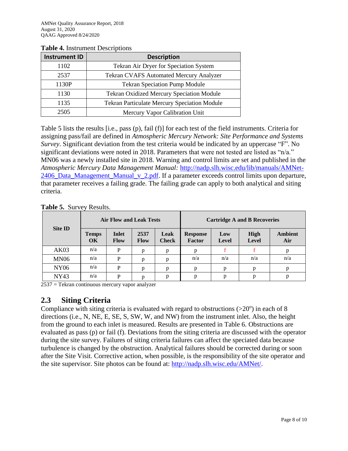| <b>Instrument ID</b> | <b>Description</b>                               |  |  |  |  |
|----------------------|--------------------------------------------------|--|--|--|--|
| 1102                 | Tekran Air Dryer for Speciation System           |  |  |  |  |
| 2537                 | <b>Tekran CVAFS Automated Mercury Analyzer</b>   |  |  |  |  |
| 1130P                | <b>Tekran Speciation Pump Module</b>             |  |  |  |  |
| 1130                 | <b>Tekran Oxidized Mercury Speciation Module</b> |  |  |  |  |
| 1135                 | Tekran Particulate Mercury Speciation Module     |  |  |  |  |
| 2505                 | Mercury Vapor Calibration Unit                   |  |  |  |  |

#### **Table 4.** Instrument Descriptions

Table 5 lists the results [i.e., pass (p), fail (f)] for each test of the field instruments. Criteria for assigning pass/fail are defined in *Atmospheric Mercury Network: Site Performance and Systems Survey*. Significant deviation from the test criteria would be indicated by an uppercase "F". No significant deviations were noted in 2018. Parameters that were not tested are listed as "n/a." MN06 was a newly installed site in 2018. Warning and control limits are set and published in the *Atmospheric Mercury Data Management Manual:* [http://nadp.slh.wisc.edu/lib/manuals/AMNet-](http://nadp.slh.wisc.edu/lib/manuals/AMNet-2406_Data_Management_Manual_v_2.pdf)[2406\\_Data\\_Management\\_Manual\\_v\\_2.pdf.](http://nadp.slh.wisc.edu/lib/manuals/AMNet-2406_Data_Management_Manual_v_2.pdf) If a parameter exceeds control limits upon departure, that parameter receives a failing grade. The failing grade can apply to both analytical and siting criteria.

**Table 5.** Survey Results.

| <b>Site ID</b> |                    | <b>Air Flow and Leak Tests</b> |              |                      |                           |              | <b>Cartridge A and B Recoveries</b> |                       |
|----------------|--------------------|--------------------------------|--------------|----------------------|---------------------------|--------------|-------------------------------------|-----------------------|
|                | <b>Temps</b><br>OK | <b>Inlet</b><br><b>Flow</b>    | 2537<br>Flow | Leak<br><b>Check</b> | <b>Response</b><br>Factor | Low<br>Level | <b>High</b><br><b>Level</b>         | <b>Ambient</b><br>Air |
| AK03           | n/a                | P                              | n            | p                    |                           |              |                                     | n                     |
| <b>MN06</b>    | n/a                | P                              | n            | p                    | n/a                       | n/a          | n/a                                 | n/a                   |
| <b>NY06</b>    | n/a                | P                              | n            | p                    | D                         | D            | p                                   |                       |
| <b>NY43</b>    | n/a                | P                              |              | p                    | n                         | D            | n                                   | D                     |

2537 = Tekran continuous mercury vapor analyzer

## **2.3 Siting Criteria**

Compliance with siting criteria is evaluated with regard to obstructions  $(>20^{\circ})$  in each of 8 directions (i.e., N, NE, E, SE, S, SW, W, and NW) from the instrument inlet. Also, the height from the ground to each inlet is measured. Results are presented in Table 6. Obstructions are evaluated as pass (p) or fail (f). Deviations from the siting criteria are discussed with the operator during the site survey. Failures of siting criteria failures can affect the speciated data because turbulence is changed by the obstruction. Analytical failures should be corrected during or soon after the Site Visit. Corrective action, when possible, is the responsibility of the site operator and the site supervisor. Site photos can be found at: [http://nadp.slh.wisc.edu/AMNet/.](http://nadp.slh.wisc.edu/AMNet/)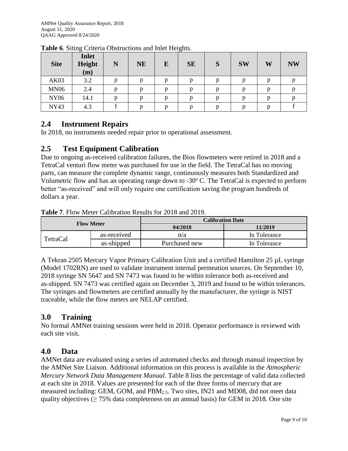| <b>Site</b> | <b>Inlet</b><br>Height<br>(m) | N | <b>NE</b> | E | <b>SE</b> | S | <b>SW</b> | W | <b>NW</b> |
|-------------|-------------------------------|---|-----------|---|-----------|---|-----------|---|-----------|
| AK03        | 3.2                           |   |           | D |           |   | n         | D |           |
| <b>MN06</b> | 2.4                           |   |           | D |           |   | n         | p |           |
| <b>NY06</b> | 14.1                          |   |           | D | n         |   | n         | D |           |
| <b>NY43</b> | 4.3                           |   |           | n | n         |   | n         | n |           |

**Table 6**. Siting Criteria Obstructions and Inlet Heights.

#### **2.4 Instrument Repairs**

In 2018, no instruments needed repair prior to operational assessment.

#### **2.5 Test Equipment Calibration**

Due to ongoing as-received calibration failures, the Bios flowmeters were retired in 2018 and a TetraCal venturi flow meter was purchased for use in the field. The TetraCal has no moving parts, can measure the complete dynamic range, continuously measures both Standardized and Volumetric flow and has an operating range down to -30 $\degree$  C. The TetraCal is expected to perform better "as-received" and will only require one certification saving the program hundreds of dollars a year.

|                   |             | <b>Calibration Date</b> |              |  |  |
|-------------------|-------------|-------------------------|--------------|--|--|
| <b>Flow Meter</b> |             | 04/2018                 | 11/2019      |  |  |
| <b>TetraCal</b>   | as-received | n/a                     | In Tolerance |  |  |
|                   | as-shipped  | Purchased new           | In Tolerance |  |  |

**Table 7**. Flow Meter Calibration Results for 2018 and 2019.

A Tekran 2505 Mercury Vapor Primary Calibration Unit and a certified Hamilton 25 µL syringe (Model 1702RN) are used to validate instrument internal permeation sources. On September 10, 2018 syringe SN 5647 and SN 7473 was found to be within tolerance both as-received and as-shipped. SN 7473 was certified again on December 3, 2019 and found to be within tolerances. The syringes and flowmeters are certified annually by the manufacturer, the syringe is NIST traceable, while the flow meters are NELAP certified.

## **3.0 Training**

No formal AMNet training sessions were held in 2018. Operator performance is reviewed with each site visit.

#### **4.0 Data**

AMNet data are evaluated using a series of automated checks and through manual inspection by the AMNet Site Liaison. Additional information on this process is available in the *Atmospheric Mercury Network Data Management Manual*. Table 8 lists the percentage of valid data collected at each site in 2018. Values are presented for each of the three forms of mercury that are measured including: GEM, GOM, and PBM2.5. Two sites, IN21 and MD08, did not meet data quality objectives ( $\geq$  75% data completeness on an annual basis) for GEM in 2018. One site